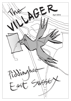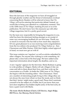# **EDITORIAL**

Since the last issue of the magazine we have all struggled on through ghastly weather and the threat of information overload concerning Brexit. Readers will be relieved to know that *The Villager* will not be entering that particular debate! Instead, we would like to bring your attention to a celebratory moment. This is the 120th issue of *The Villager*, marking 20 years or so of its publication. We don't know how this measures up with other village magazines, but it's a pretty good record.

For the team now responsible for bringing the magazine to you, relief has been the dominant feeling amongst us on receipt of some very encouraging feedback for our first issue. Thank you so much to everyone who has told us how much they enjoyed it. Of very great pleasure to us was receiving warm congratulations from the two editors who produced *The Villager* before us – Ken Cheeseman and Mike Draisey. With their highly-valued approval in hand, we must now get on with it!

This issue contains our 'regulars', as well as articles submitted by other villagers. For anyone also wishing to write something, do please take a close look at the final page. We have added some important information about length, the deadline, and so on.

A new 'regular' appears for the first time. Sheila Redman is going to write profiles of villagers. Sheila will ask villagers if she can come and talk to them about their lives, and then write up the conversation as a Profile. As befits the 120th issue of *The Villager*, she begins with the founding editor – Ken Cheeseman. There are a number of interesting people living in this village (they are not always the ones from whom we hear the most), and we think that their 'stories' might make a good read. Please don't nominate yourself to be the subject of a Profile, but if you know that your next door neighbour has hidden depths (only of the best sort), do have a quiet word with Sheila.

#### *The team: Sheila Redman (Chair), Gill Davies, Angie Ridge, Bill Pierce, Sue Massey, David Aicken.*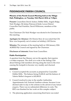# **PIDDINGHOE PARISH COUNCIL**

#### **Minutes of the Parish Council Meeting held at the Village Hall, Piddinghoe, on Tuesday 15th March 2016 at 7.30pm**

**Present:** Councillors David Aicken, Debbie Mills, Angela Ridge, Nick Woolger, Mr Julian Peterson (Clerk). Lewes District Councillor Paul Franklin, David Wilkinson, members of the public.

Vice Chairman Cllr Nick Woolger was elected to be Chairman for this meeting.

**Apologies for Absence:** Cllr Dennis Stow (it was noted that Cllr Stow was frequently out of contact on holiday), Gill Davies.

**Minutes:** The minutes of the meeting held on 12th January 2016 AGREED By Council and signed by the Chairman.

**Disclosure of interests:** None from Councillors.

#### **Public Participation**

A question from Sue Massey, not on the agenda, that requires a written response. The clerk is to write to the Sailing Club about Fishing Club members driving along the track to the river causing the footpath to become very muddy and churned.

### **AGENDA**

- 1. Council accepted the accounts as prepared by Councillor Debbie Mills. The balance being £5,418.41 and the balance of Valerie Mellor's bequest is £45,149.19.
- 2. Council resolved to stay in the smaller Authorities Appointments Ltd, External Auditors scheme, because it was deemed safer to stay in the scheme in the advent of any future enquiry. There was no substantial difference in costs. The RFO was thanked for her work on this complex subject.
- 3. The planning application concerning Iford farm was noted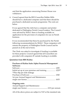and that the application concerning Dormer House was withdrawn.

4. Council agreed that the RFO Councillor Debbie Mills should have a dedicated computer and that there should be purchased a dedicated accounts programme. The costs are below.

It was agreed that the clerk have a computer and printer dedicated to Piddinghoe Parish Council matters. The Council were advised by SSALC there is funding available on application for the provision of computers for use on Parish business.

It was recommended that these be purchased by the Parish following recommendations by SSALC. These computers will remain the property of Piddinghoe Parish Council and be passed on at the end of term.

The Clerk was asked to investigate if funding is available for these projects. Council agreed that all Councillors are provided with computers IF outside funding is available.

#### **Quotation from RBS Rialtas**

#### **Purchase of Rialtas Suite Alpha Financial Management Software:**

#### **Ongoing costs:**

| Annual Support and Maintenance |  |
|--------------------------------|--|
|                                |  |

All of the above prices are subject to VAT at the standard rate.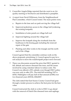#### **4** The Villager • April 2016 • Issue 120

- 5. Councillor Angela Ridge reported that she went to an Air quality meeting in Newhaven and distributed a pamphlet.
- 6. A report from David Wilkinson, from the Neighbourhood Plan Committee, which Council noted. The main points were;
	- a. Repairs to the lane and car park serving the village hall
	- b. Improved pedestrian access to the village hall (widening the existing footpath)
	- c. Installation of solar panels on village hall roof
	- d. Improved lighting around the village hall
	- e. Improve the footpath along the riverbank from the boathouse to the kissing gate including the renewal/ repair of the gate
	- f. Planting and other works to the triangle and the north end of the village.

Council agreed that the committee continue work on the above proposals, prioritising A. Council agreed to pay for a soil analysis to move the road/footpath project move forward.

7. There was discussion around the price that ESCC quoted to fell, debark and remove diseased elm trees, and the issues involved by using volunteer labour to reduce costs. The Council was offered a 50% subsidy even though ESCC policy was now only to offer 25%. The total bill including VAT is  $£6762$ . Piddinghoe will pay half of that amount  $£3381$ ) over two financial years 2015/16, 2016/2017.

The clerk stated that East Sussex County Council had gone through a tender process to achieve the best price for the best value.

Council instructed the clerk to write to ESCC to go ahead with the removal of Dutch Elm diseased trees and saplings.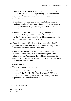Council asked the clerk to request that clippings were to be left for the villagers. Council agreed to pay the sum of £3381 including vat. Council will endeavour to recover the vat tax on that amount.

- 8. Council agreed to publicise on the website the emergency telephone numbers. It was stated that council would identify the most vulnerable people and properties in the advent of flooding.
- 9. Council confirmed the amended Village Hall Hiring Agreement that any person or organisation that wanted to use the Hoe for any event would provide a paper copy of their appropriate public liability insurance.
- 10. Council nominated Cllr Dennis Stow to attend the ESCC partnership of Transport and Environment Scrutiny Board. In his absence a substitute would be found.
- 11. Councillor Paul Franklin gave a presentation and then a question and answering session on recycling and waste collection in the District, and the problems of roadside litter collections. Cllr Paul Franklin was thanked for his interesting presentation and answers.

#### **Progress Reports**

- 1. There were no progress reports.
- 2. The dates of the next meetings will be placed on the village website: 3rd May 2016 (Parish Meeting), AGM and Parish Council Meeting 10th May 2016, 12th July 2016, 13th September 2016, 15th November 2016.

first draft copy 17/03/2016

*Julian Peterson PPC Clerk*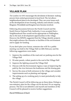# **VILLAGE PLAN**

*The Localism Act 2011* encourages the devolution of decision- making powers from central government to local level. The Act allows neighbourhood plans to be developed. They can cover issues such as the development of new housing, industry and schools. Locally, Ringmer, Wivelsfield and Kingston have become involved.

Following discussions between the Parish Council and the South Downs National Park Authority, it was accepted that a Neighbourhood Plan would not be appropriate to Piddinghoe, due to the lack of development opportunities in the village. However the SDNPA suggested that the Village identify projects that might enhance the character or facilities of the environment and to apply for funding.

If you don't plan your future, someone else will! So a public meeting was held in the Village Hall on 24th February and the following suggestions were made:

- 1. Improve the condition of the road and car parking area for the Village Hall
- 2. Fit solar panels, voltaic panels to the roof of the Village Hall
- 3. Improve the lighting around the Village Hall
- 4. Discuss with the Environment Agency ways of improving the path by the river between the boathouse and the kissing gate
- 5. Survey the areas at both entrances to the village and consider improvements such as planting and signage
- 6. The setting up of a working party to meet periodically to tidy the village.

The Parish Council will be following up on these ideas. Perhaps a non-statutory plan for the village can be devised. It's an ongoing process. The list is not definitive and myself and members of the Council will be pleased to receive further suggestions.

#### *David Wilkinson (Chair)*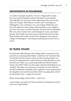# **SNOWDROPS IN MOURNING**

A number of people regularly visit our village both to enjoy the views and in Spring to admire the banks of snowdrops and daffodils. For one such visitor adhering to the entry in her diary for Sunday, 14th February which read "snowdrops in Piddinghoe," this visit had a very sad ending. Whilst she was here she suffered a fatal stroke and paramedics were unable to save her. Her name was Rita Hemsley and she lived in Ditchling. She was a keen nature lover and belonged to many associated groups. Her family have taken great comfort from the fact that their mother died in (the words of her daughter) "this special village of Piddinghoe" and doing something she loved to do so much.

### **80 YEARS YOUNG**

On Saturday, 20th February, the Village Hall was packed to the gunwale (as seafaring John Paddy would have it). It seemed that everybody arrived in party mood and the ensuing chatter, to a musical accompaniment, created almost enough decibels to raise the hall roof. There was a groaning buffet provided by John's family and THE CAKE was decorated with 80 and 82 (figures not candles). The latter was in honour of brother Les who had also recently celebrated a birthday. John replied to a toast proposed by his daughter and recalled anecdotes of his sea going days which he obviously loved – rough seas and all.

Many, many happy returns John – and to Les.

A good time was had by all and everybody is looking forward to your next 'big birthday'.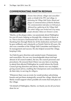## **COMMEMORATING MARTIN REDMAN**



*Dennis Stow (friend, villager and councillor) spoke on behalf of the PPC and village, in dedicating the Village Hall Notice Board and plaque in commemoration of Martin Redman. The commemoration took place on February 6, followed by a gathering at the Village Hall. The whole village was invited and very many people attended. Below are Dennis's words.*

'Martin, as the plaque states, was passionate about Piddinghoe for over 45 years, helping us through life, whatever it threw at us. This is not just a testimonial but is also a tribute to Martin, thanking him through Sheila for all the dedication and hard work he gave selflessly and voluntarily as Parish Clerk for 40 years. He also was a member of the Village Hall Committee and helped in its management and success. He also helped around the village, keeping it tidy.

'As Clerk he gave direction and assisted many Chairpersons and councillors. He was very knowledgeable about and kept abreast of all council matters, the law, the council processes and procedures. He ensured that if there was any item or meeting to attend that affected Piddinghoe he would inform the Parish Council giving direction and advice. Martin was very helpful, giving sound advice, enabling the Chairperson and councillors to do their duty in serving *the villager*s.

'Whenever there was an event, he would produce advertising boards and put them strategically around the village. Martin and Sheila would support where possible all events that took place in the village.

'On behalf of Piddinghoe, Martin, we thank you for all you have done for us.'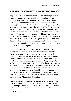### **MARTIN: 'PASSIONATE ABOUT PIDDINGHOE'**

Way back in 1970 on one of our regular visits to my parents in Seaford, I suggested turning left into Piddinghoe instead of as usual, driving past on the bypass. The entrance to the village with an assortment of boats drawn up on the mudflats below Saltings (there was no built up wharf there in those days) looked so attractive and as we turned the corner by The Barn, I spotted three newly built houses for sale opposite the Post Office. Said I "what a lovely village – lets live here and in that house there". Martin being a lawyer, took a more considered view but by the next day he had contacted the agents and arranged a viewing. By the next day we had said yes to the agents and by the day after that we had returned home and put our Taplow house on the market. A few months later we were here and thus began his/our love affair with Piddinghoe.

We moved to Old School in 1983 and acquired the barn a few years later. It is now full of memorabilia of our village life. There is much evidence of Martin's prowess with 'boards' in an enormous range of sizes advertising village 'Fayres', Flower Festivals, Open Gardens and activities associated with those events and others publicising many village 'happenings'. As well as publicity, Martin was heavily involved in the running of the above and many Fayres, and all Flower Festivals and Open Gardens which raised thousands of pounds for village funds would not have taken place without his enormous amount of enthusiasm, support and encouragement. He was also a founding member of the Friends of St. John and for some years an active member of the Village Hall Committee.

Martin was always happy and content and to quote his words "I've been lucky enough to have always had great job satisfaction and thoroughly enjoyed doing all the things I have done in my life." I think he would have considered it a life well lived.

#### *Sheila Redman*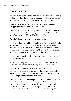# **GRASS ROOTS**

We are now well past Candlemas, the 2nd of February, the day by ancient rite when the hay field is 'stopped ' or 'locked up', the day when all livestock is removed to allow the grass to grow.

I however, will not be turning off the four hairy residents occupying my field as I no longer make hay.

They are Icelandic horses ...not ponies, despite their diminutive size. They belong to Piddinghoe people Liz and Dennis Collins, who also have the stables and land in the village.

Their little horses are special in so many ways.

Firstly, they have two additional gaits as well as the typical walk, trot and canter/gallop. The first is the four beat lateral ambling/ running walk called the 'tolt' It is very comfortable and ground covering. They can also perform the 'flying pace' – a racing gait when speeds of up to 30mph can be reached in competition.

Animals are specially bred and trained in Iceland to perfect and maintain these gaits.

In Reykjavik every year a remarkable event called the Ice Tolt is held where horses race on ice. Crazy folks the Icelanders.

The Icelandic horse has a very sweet temperament and is extremely safe to ride. It is fearless, docile and very reliable in traffic and open spaces. They are not easily spooked as they have no natural predators in their native home.

The breed has now been bred pure in Iceland for more than 1000 years. A horse that leaves the country is not allowed to return. The benefit of this isolation is that disease in the breed within Iceland is mostly unknown. It is not permitted to even take saddlery into the country without a strict disinfection process.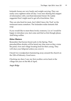Icelandic horses are very hardy and weight carrying. They can easily carry eighteen stone all day. I was once sharing this snippet of information with a not-that-interested friend. He rudely suggested that I might need to get off at lunchtime. Nice.

They are also bred for meat...but I didn't fancy the 'Foal' on the restaurant menu somehow. The Icelanders make fantastic fish soup.

If you would like to meet these lovely creatures, Liz or I would be happy to introduce you. Just come and find us first though please. And bring wellies.

### **Other Matters**

Remember that herons breed early in the Spring. Their pterodactillian shrieks will be heard any time soon as they cruise the pond, river and village locating food for their young. They will clear your fishpond unless you cover it.

I heard two woodpeckers hammering away around the church on the 12th of February. Good news.

Checking my diary I saw my first swallow arrive back in the village last year on the 8th of April.

*Angie Ridge*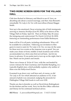# **TWO MORE SCREEN GEMS FOR THE VILLAGE HALL**

Club fans flocked in February and March to see *45 Years*, an absorbing tale about a soured marriage, and then Alan Bennett's remarkable *The Lady in the Van* with marvellous (Dame) Maggie Smith.

Next up is the emotional, Oscar-winning tale of Irish immigrants arriving in America *Brooklyn* (Cert PG 2015), to be shown at the Village Hall on Friday April 22. Then on Friday May 20 comes the intriguing and controversial *The Danish Girl* (Cert 18, 2015) featuring an outstanding performance from Eddie Redmayne.

Seats will be £3 in all parts, including refreshments. Wine will be available for a donation. Following our invitation to filmgoers to reserve seats for *The Lady in the Van*, we may do the same for these next two events as the response was so good. You can make your choice of front, middle or back locations and will be accommodated on a first-come-first-served basis. Just let me know in advance. If you prefer just to turn up on the night, that is fine. Watch out for posters and emails.

There was a house of 26 for *45 Years*, with the cast headed by screen veterans Sir Tom Courtenay and Charlotte Rampling, in a typically-English story, which probably explains why neither of them won the Hollywood Oscars.

It seemed to go down very well here and, of course, so did *The Lady in the Van* which attracted an audience of 32. A fair amount of plonk was consumed, nudging the proceeds for Piddinghoe Village Hall funds to well over £120.

Thanks are due to Jennifer as well as David (from Rottingdean) for the kitchen and bar work, Terry for the Box Office collection and Danny for his continued technical advice.

*Bill Pierce E: piercewilliam991@gmail.com T: 01273 513162*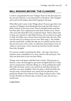## **BELL RINGING BEFORE 'THE CLANGERS'**

I wish to congratulate the new Villager Team on the first issue for lay out and contents. I was interested to read about 'The Clangers' and want to tell readers about bell ringing in the past.

When Bert and I came to the Village about 30 years ago, there was a group of Villagers from Brookside that rang the bells. Some of them worked on the ferry boat. Then it changed hands and they lost their jobs. New employment took them further away. Those who were left asked Bert if he would join them. When others had to drop out, I joined in with Mike Draisey. We carried on for quite a while, but Mike was a Doctor then and often had call-outs. This was the start of us doing it on our own. Bert rang 2 - the middle and the small bells. I pulled the big one. It worked out fine, but as the services were every week, we asked for some help to cover us while we went away. A few turned up, but they found it harder than they thought.

It's not just a matter of pulling the dolly – the rope. One has to produce some resemblance to a tune, which is the hard part. The only one that stuck it out was Joan Wells,

Things went well again until Bert had a stroke. That put pay to that for a time. He managed to get some strength back for a while and we progressed, with him sitting on a chair, pulling the small bell with one hand. And so we carried on until Joan became ill and Bert was more disabled. Then for quite a while the bells did not get rung. I missed them very much and am pleased a new group has started. New blood in the village to keep it alive. I like to hear the bells on Practice day, as there is only one service a month now.

#### *Cathy Ward*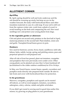# **ALLOTMENT CORNER**

### **April/May**

By April, spring should be well and truly underway and the soil should be warming up nicely, but keep an eye on the weather forecasts. Be ready with horticultural fleece and other insulation materials in case of a cold snap. If your soil is still wet from the copious winter rain, work from a plank of wood, to avoid treading on the beds and compacting the soil. Hoe weed seedlings now and protect your young plants from slugs.

### **In the vegetable garden or allotment**

Chit and plant out second early potatoes in the first half of April, maincrop potatoes in the second half. Plant shallots, onion sets and garlic. Transplant broad beans grown in pots.

### **Outdoors**

Sow seed for beetroot, carrots, Swiss chard, cauliflower, kohl rabi, lettuce, leeks, radish, turnip, spring and pickling onions, peas and perpetual spinach in well-prepared soil.

After all risk of frost has passed, plant out tomatoes, courgettes and pumpkins that were previously sown under cover. Other young plants can be planted out once they've been hardened off (acclimatised to the colder outdoor conditions) for 10 to 14 days.

In May, sow French beans, runner beans, squash, cucumbers and pumpkin seeds directly into prepared beds outside. Be alert to late frosts and cover with horticultural fleece for protection.

### **In the greenhouse**

Marrows, courgettes, pumpkins and squash can be started off indoors, as well as sweet peppers, tomatoes, cucumbers, aubergines, celery, celeriac, salads and globe artichokes.

If you didn't get round to sowing seed in good time earlier this season, try growing on plug plants in your greenhouse.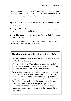Seedlings will need daily attention and regular watering. Open doors and vents on greenhouses to increase ventilation on warm, sunny days and look out for red spider mite.

#### **Fruit**

If you have fruit trees in pots, treat with a balanced liquid feed every fortnight.

Where possible, protect plum and pear flowers from frost but allow insects access for pollination.

Remove blossom from new strawberry plants in their first year to help establishment.

*If you're interested in renting an allotment this year (or sharing one), please phone Sue Massey on 07950 935 526.*

### **The Garden Show at Firle Place, April 22-24**

The Garden Show is now in its ninth year. Opening times on April 22-24 are 10am to 5 pm.

Admission prices are: £7 for adults; £5 for seniors; and £3 for children. Those under four years of age go free. You can also get a family ticket for 2 adults and 2 children for £18.

There will be displays from specialist growers, suppliers of gifts for the garden, plus arts and crafts, garden furniture, and food stalls, and some entertainment to keep children occupied. If you want to look around Firle House, while the Garden Show is on, tickets will be reduced from the usual £8.50 to £4. There is ample parking in the grounds. Be warned that dogs are not allowed within the show ground but you can walk them around the grounds if they are on a lead.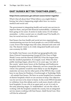# **EAST SUSSEX BETTER TOGETHER (ESBT)**

#### **https://news.eastsussex.gov.uk/east-sussex-better-together**

What's that all about then? What follows you might think is boring, but what is happening might affect how we receive medical and social care.

The government is integrating health and social care services to improve them, and provide financial sustainability. A debate has been going on for years. It seems to make sense. It will reduce anomalies – is this a social care or a health issue? For health, it's free; for social services, it often isn't.

East Sussex has four health and social services organisations, commissioning services for local people at a cost of £935 million a year. Even if the budget stays the same, demand and costs will rise. The shared vision is of a fully integrated health and social care economy by 2018.

For health, East Sussex was divided up (geographically) into three Clinical Commissioning Groups (CCGs). Ours is High Weald, Lewes and the Havens (HWLH). It has the largest area but the smallest population. It is largely rural. When the first public meetings began, about five or six years ago, 'our side of the county' spent many hours at the Hastings and Eastbourne hospitals discussing services. Maternity services caused the most vitriol. Our patients would be more likely to use the Brighton maternity services, but for other parts of the HWLH, they would have to use those for Pembury, Crowborough or Tunbridge Wells – all outside East Sussex. We have no acute hospital but a number of district hospitals which we are anxious to keep. Our objective was for services to be closer to home. In the event HWLH decided to withdraw from this debate and to work more closely with our local hospitals. It was a bit of an upset and, as yet, it is only in the early planning stages. Us 'stakeholders' can see the value of working with the hospitals outside the county, but an integrated service means working with East Sussex Adult Social Care. How will this be achieved?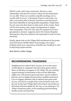HWLH works well in the community. We have a close relationship with the CCG and are valued for the information we can offer. There are a number of public meetings, for us usually held in Lewes. A Dementia Project is well under way after a successful pilot in Buxted. Newhaven and Peacehaven have been identified as having health inequalities. People there live ten years less than those in other parts of the county. There will be more money and a range of programmes to reduce these inequalities. The CCG now pays for transport (CTLA) to get patients to doctors' surgeries and to the Victoria Hospital, showing how they have listened and responded to what we have told them.

Finally, please look on the Village Hall noticeboard at the poster from East Sussex Health Watch. It encourages you to give feedback about your experiences of health care. Feedback is vital to help bring improvements.

#### *Kate Davies, Glebe Cottage*

## **RECOMMENDING TRADESMEN**

Neighbours have asked if they can pass on to us the names of individuals or companies who have done good work for them, so that they can appear in *The Villager*. We can certainly support sharing of information of this sort but difficulties might arise. One person's good experience may be another's bad one, and we might end up having to publish retractions! Can we suggest, therefore, that if someone does good work for you, you ask for a couple of his or her business cards, and pin one on the main Village Hall notice board, and another on the board at the bus shelter. By the way, we are sticking to *The Villager*'s long-term policy of not accepting paid advertising, should anyone ask about this.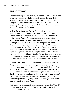# **ART JOTTINGS**

One blustery day in February, my sister and I went to Eastbourne to see the 'Recording Britain' exhibition at the Towner Gallery. Be warned: signage to the gallery is terrible. It is next to the Congress Theatre and the Eastbourne Tennis Courts. I advise following the signs to Devonshire Park. Once there, you will find plenty of pay-and-display parking.

Back to the main menu! The exhibition is free as were all the others exhibitions on show at that time. 'Recording Britain' was set up by the art historian Sir Kenneth Clark at the start of the Second World War. Professional and amateur artists were commissioned to make sympathetic records of vulnerable buildings and landscapes which were thought to be under threat not only from bombs but from the effects of 'progress' and development after the war. By the end of the scheme in 1943, there were more than 1,500 watercolours and drawings representing every English county plus parts of Wales. Artists included John Piper, Charles Knight, Ruskin Spear, Barbara Jones and David Nash. Watercolours are not a great favourite of mine but this exhibition really drew me to this most difficult of media.

Do take a close look at Phyllis Diamond's 'Kennerton Street', a study of two shabby but charming shops with sandbags and boarded-up windows to protect them from bomb damage. Others that deserve a peek include Enid Marx's 'St John's Tavern' ( I used to know her from my days working at Kenwood House, for English Heritage, in London and she was a pretty scary woman), Ruskin Spear's 'The Temperance Hall' and George Hooper's wonderful painting, 'Regency House in Tunbridge Wells', very much in the style of John Piper.

Do include a painting by Rowland Suddaby, 'St Osyth's Church'. He was a great friend of Ben's late mother and she passed on a few of his paintings to us.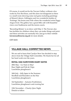Of course, it would not be the Towner Gallery without a few works by Eric Ravilious, and this does not disappoint as there is a small room showing some real gems including paintings of Mount Caburn, Littlington and two wonderful studies of 'Furlongs', the house near Firle where the wonderful artist Peggy Angus lived. The gallery has a great little café with beautiful views over Eastbourne and the tennis courts.

'Recording Britain' is on show until May 2. The Towner also has facilities for children where they can make things and paint and these activities are normally free. Just go to their website **townereastbourne.org.uk** for more details.

*Gill Autie*

# **VILLAGE HALL COMMITTEE NEWS**

We are sad to learn that Carolyn Stow has decided to step down from the Village Hall Committee. We thank her for all her hard work over the years.

### **ROYAL OAK SURVIVORS DIARY DATES**

28th May – Go Nuts in May! Race Night and Fish & Chips Lunchtime ploughman's

16th July – Jolly Japes in the Summer Stoolball and Rounders on the Hoe Lunchtime ploughman's

3rd September – Autumn Fruitfulness Lunchtime ploughman's and evening bar

12th November – Charity Quiz Night Details to follow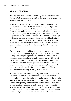## **KEN CHEESEMAN**

*As many of you know, Ken was the editor of the Villager when it was first published. He was also responsible for the Millenium Beacon on the bank beneath Church Cottages.*

Kenneth Cornelius Cheeseman was born in 1930 in Essex the youngest of a family of 8 and was orphaned by the age of 16. By the age of 9, he had decided he wanted to be an architect. However, Methodism continually tugged at his heart strings and he became a lay preacher by the age of 15 and developed ideas of going into the Methodist Ministry. The war came and being a pacifist, he was sent to work on a farm. He was still doing farm work and also still toying with entering the Ministry when he met Beryl but discovering that he would have to be a Minister for 7 years before being allowed to marry, this idea was quickly dismissed.

They married in 1951 and Ken re-ignited his interest in architecture and began his 7 year training course. After a time, he began working for a practice in London as a draughtsman and continued his studies externally, qualifying in 1959. He set up his own practice the next year with a capital of £100. Ken was driven and ambitious and the practice thrived and eventually he employed 10 people but doing all the designing himself. As the business expanded, so did life at home – four 'little Cheesemen' were added to the family in the space of 8 years.

At this time, Ken was working mostly on schools but gradually churches, housing and a factory were added to his repertoire and he also landscaped a golf course and a section of the Norfolk Broads. The churches were mostly non-conformist and Ken's brief was mainly updating and additions. He beautified 92 churches in all one gaining a design award which he received from Sir Basil Spence. He was also commissioned for one synagogue, one new build church in Africa and one curious 'Lighthouse' church where the 'light' lit up during the service and where he was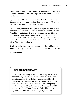invited back to preach. Stained glass windows (one consisting of 32 panels) and one 12' bronze sculpture in the shape of a flame also bear his name.

So, what else did he do? He was a Magistrate for for 20 years, a Rotarian for 23 years and continued to be a preacher. He was also involved in amateur dramatics for 20 years

Having been gradually winding down his practice, Ken finally retired in 1990. He then had time to devote to his studio in The Barn. His output of drawings and paintings was prolific and he produced enough material for 35 exhibitions. These were held in aid of Cancer Research and those, together with the 'big breakfasts' held in the village hall, he and Beryl between them raised £67,000 for the charity.

Ken is blessed with a very, very supportive wife and Beryl was probably the inspiration behind many of his artistic endeavours.

### *Sheila Redman*

## **MEL'S BIG BREAKFAST**

On March 11, Mel Morgan held a fundraising breakfast at Jasmine Cottage to raise funds for Cancer Research. It was well attended, mostly by ladies who breakfast. Happily for cake lovers, there was a wonderful spread of delicious, home-made cakes, plus some nice savouries, and plenty of coffee, juices and healthy fruit. Donations totalled £220. A great effort by Mel and those who helped her, and very enjoyable for those who came, and gave generously.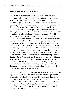## **THE LAWNMOWER MAN**

The lawnmower exploded and died in mid mow. Brought it inside, carefully covering the shaggy, white carpet with large plastic bin bags. Plugged it in. Another explosion. "I need a new one", says Lynnette (she who does the mowing, but not the mending). It's happened before so I examined the cable and saw the fault. Same one. Design error. "Wear on plastic sleeve at entry to handlebar control". Feeling Mr Competent now - Lynnette looking on in awe. Carefully dismantled control, cut off damaged part of cable, rethreaded new end and reconnected. Voila! But it still didn't work. Fuse?! Changed that for one I found lying about. Didn't work. Maybe that was a dead fuse? Lynnette has now lost interest and wandered off, not as impressed as before. A case of premature admiration, something to do with age maybe. No new fuses, so took the one from the washing machine. That has to work, right? Doesn't work. Must be the motor. Dismantle front of mower and stare at motor. Looks ok. Nothing disconnected or burned out. Conclusion - it is beyond human (i.e. my) capability. "Take it to the dump. I want a new one, and I'm going out now that I can't mow", shouts Lynnette. Shame to waste the cable and plug I think, so I cut off the cable and neatly coil it. I place the mower outside the front door to puzzle the neighbours. Clear all the bits and pieces and plastic bags like a good husband (Lynnette is sensitive to these considerations I have noted). Time for a well earned cup of tea perhaps.

Ten minutes later, cup in hand, I go into the bedroom in search of my book. A Christmas present just fitting for these quiet times. It's about a man standing on a ledge 2000 feet up a sheer cliff. Riveting stuff. Have I got time to read before Lynnette returns? I notice the bedside clock isn't working. Nor the radio. Nor the floor lamps. I check the fuse box to find the circuit has tripped out.... No problem. Hang on. It's the same circuit I plugged the mower into. Erm, could that mean…?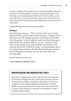So, boys and girls, the question is: do I mend the cable, tackle the whole mower thing again to check if I actually did repair it the first time or do I just pretend it still doesn't work and buy a new one? After all, it is 10 years old and wasn't great anyway? Or am I just being lazy? Such are the moral dilemmas one encounters in retirement.

I said nothing and left it in the rain outside.

### **Epilogue**

The following morning.... "Well, is it fixed yet?" says Lynnette. Spirit rebooted, I get the mower from the porch - evidently not of interest to any DIY inspired passerby - and retrieve the toolbox from the garage. I re-lay the plastic, undo the whole thing again, reattach the (now shorter) cable etc. etc. etc.... To test it, I press down on the handle bar to raise the blade from the floor and press the ON switch. VOILA!! It works... and immediately chews up 3 plastic bags and spews the little black shreds, plus innards full of damp grass and twigs, all over the room. That's my morning gone.

Moral? There has to be one...

*Colin Chapman, Hoddern Farm*

# **NEWHAVEN INCINERATOR VISIT**

Noel West is organizing a visit to the Newhaven Incinerator and Veolia are happy for this to take place, but they restrict the maximum number of people in each party to 20. If you would like to be included please let Noel know on 07766 661066 or noel.west@sky.com. Its first come, first served and no date yet but Veolia say visits are very popular so expect sometime late summer.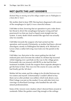# **NOT QUITE THE LAST GOODBYE**

*Richard Way on moving out of his village comfort zone in Piddinghoe to a basic flat in 'town'.*

My mother died in June 1999. Having been diagnosed with cancer of the oesophagus in April, it was a merciful release.

I felt bitter at first, knowing that an operation to put a tube down her throat to divert the oesophagus had gone wrong and had punctured it so that any food or liquid went straight into her system. A nasty death which seemed like ages but was actually only two months.

I felt bitter towards the surgeon who had carried out the operation, and towards Christianity, as mother had been a devout churchgoer, mostly in Piddinghoe but latterly at St. Michael's in Lewes when a rather left-wing vicar took over the parish in the village.

I felt bitter, too, that prior to the cancer getting her she had endured pain and overcome the ordeal of a broken hip incurred whilst tripping over a pot-hole on the way to the village green. Fortunately she was insured with BUPA so she had the best treatment available. It took the surgeon three separate attempts to get the bone to heal. This was over the course of a year, and she had finally got the 'all clear'.

Mother left her estate and the cottage to be divided between my two sisters and myself. Unfortunately I couldn't afford to buy them out so after probate was settled, which took about a year, Flint Cottage was put on the market. It was sold after forty-two viewings via Rowland Gorringe, who handled the sale with utmost professionalism.

Some of the viewers were clueless when I showed them around at weekends. Either the garden wasn't big enough or the ceilings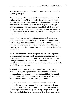were too low, for example. What did people expect when buying a country cottage?

When the cottage did sell, it meant me having to move out and finding a new home. This meant clearing three generations of accumulated goods. There was still some of my grandmother's furniture and ornaments, plus my parents' gear (including a load of barge and boat memorabilia stored in the loft, shed and garage). Gorringes took the furniture away to their auction rooms and the rest had to be cleared by myself and Chandra (Jane was away in Switzerland).

At this time I was a regular customer at the hardware centre at the top of the town in Newhaven. The owners, Dorothy and Martin Gregg, had become my friends, as had their son Bill who serviced my machinery and was always telling me off for not checking the oil in the mowers often enough or letting the blades get too blunt.

When told of my accommodation problem, Bill said his parents had a small flat above the hardware centre (one of the best shops in the town at the time) that I could have. With the sale of Flint Cottage imminent, I went to have a look at the flat which was small but I thought at least it was a secure roof over my head with people I knew and trusted.

Moving from a three-bedroom cottage with a garden, garden shed, larder, broom cupboard and airing cupboard to a onebedroom flat was stressful to say the least, but I had some really good friends in The Ship Hotel in Newhaven where I worked in the afternoons, and they agreed to help me move.

They mustered three transit vans and a Range Rover, and we managed to get all my gear and furniture into the vans in one go. They carried furniture and electrical appliances, including a washing machine and fridge freezer, up a flight of fire-escape steps, and installed all in my new home. Everything else was in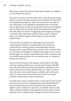black bags or boxes but at least I had a home, albeit very different to what I had been used to.

Once this was done I took the team down to The Ship and treated them to several well-deserved beers and a selection of rolls which the landlady had prepared. They had turned down my offer to pay. When they were sufficiently replenished they went home and I walked up to my flat. On good advice from several villagers the first thing I did was make up the bed and find the kettle. I then did about two hours of unpacking and enough was enough. I watched a bit of television and then went and got a Chinese take-a-way which I enjoyed with a bottle of wine, and then retired to bed.

The next day was Sunday, so I had time to do some more unpacking and furniture arranging. Bill came round and connected the washing machine and helped place heavier furniture (how many landlords do you know who would do that on a Sunday?). On Monday I walked to the village to go to work. I did this again on Tuesday and decided after these excursions that I was half knackered before I'd even started work, so I opted for the bus from then on.

One of my best friends, Colin Burgess, who drank in The Ship and had a hotel in Eastbourne, was also good friends with Bill, who did all his DIY, decorating and property maintenance. He told me that one of the flats upstairs from me, which was three times the size of mine, had become available and I could move into it if I chose. It also had a balcony (on which I now grow tomatoes, runner beans, herbs and flowers).

It would only cost me a fraction more in rent, and he said I would be mad to turn it down. I thought about it and decided that the stress of repacking stuff and moving it up yet another steep flight of stairs would be too stressful, so I initially said no. Colin told me that he and Bill would organise the move and do all the physical work, so (thank God) I changed my mind. They moved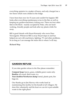everything upstairs in a matter of hours, and only charged me a few beers which were chilled in the fridge.

I have been here now for 15 years and couldn't be happier. Bill looks after everything maintenance-wise in the flat, as well as keeping my garden-machinery ticking over. There are four other flats in the block - mainly occupied by Poles, who are hardworking, friendly people and look after my plants while I'm away.

Bill is good friends with Stuart Kennedy who owns Dees Newsagents. Whenever Bill is away Stuart steps in and has helped me out with machinery, lighting, TV and other problems. So as long as I can manage the stairs this is where I will stay.

#### *Richard Way*

## **GARDEN REFUSE**

If you take garden refuse to the Hoe please remember:

**Compost heap:** leaves, grass, rottable green waste only. **Bonfire:** all wood, thick roots, ivy.

**Your dustbin/Newhaven dump:** metal, plastic pots, bin bags etc.

Our thanks go to Jim Harvey who works hard at maintaining this facility for the benefit of all villagers. He does this voluntarily and the least we can do is put suitable waste in the right place!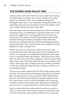## **THE SUSSEX OUSE VALLEY WAY**

Call me a slow starter, but it took me some 2 years after moving into Old Cottage, to realize why so many walkers and cyclists passed my front door. They were constantly asking me if Piddinghoe had a pub or café, especially during the summer. So I asked them why past my front door?, and then the hidden secret was revealed: The Sussex Ouse Valley Way.

Since moving in, the river has fascinated me, with its constantly changing scenery, and although it is generally quiet now, in the past it was a highway for moving goods in and out of Lewes and beyond. The captains of those long forgotten sailing ships must have been great sailors, no engines to help them; they manoeuvred, using the tide and wind, demonstrating fantastic seamanship skills. They could certainly have taught the Charter Skippers of today, a thing or two.

Where does the river come from, where does it start, what countryside does it pass through and how has it influenced the history of our people and countryside? Luckily Jane and I came across a wonderful book, titled simply, "The Sussex Ouse Valley Way" by Terry Owen and Peter Anderson, with a forward by Ray Mears, Jane's boss. This book splits The Way into 6 sections, each about 7 miles long. Every chapter gives easy to follow directions on the route, and at the same time gives a history of where you are passing through.

We have now nearly walked all of The Way, using sections from the book. The Ouse starts near Horsham and ends up in Seaford Bay, covering 42 miles, and was opened in 2005. Why Seaford Bay you ask? That's because before us humans interfered with the course of the river, it ran into Seaford Bay, and if you look carefully, evidence of this stills exists. Walk down to Tidemills, and carry on in a westerly direction, and all will be revealed!

Every so often when the weather looks ok and we are up for a walk, we choose one of the sections, park at one end, find a pub for lunch at the other end, and then walk back. It's a great way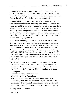to spend a day, in our beautiful countryside. I sometimes feel like Michael Portillo with his Bradshaw's, as we wander up and down the Ouse Valley with our book in hand, although we do not change the colour of our jackets at every opportunity.

One of the highlights for us has been The Ouse Valley Viaduct. This is very easily missed, travelling by train up to London, but on the ground it is one of the wonders of the Victorian Age. It still retains the power to impress today as its 37 arches stride across the valley, supporting the busy schedule of a mainline railway. It is 96 feet high and over a quarter of a mile long. But how many bricks did they use? Michael knows, he recently featured it in one of his television programmes.

So what about Piddinghoe and The Sussex Ouse Valley Way. Its route goes down beside the river to Deans Farm, travelling southwards, in fact exactly where the new section of The Egrets Way is. From there it crosses the C7, up the bridle way towards Peacehaven, but then moves off to the left, to emerge half way up Harping Hill. It then goes down Harping Hill across the C7, into our village and turns left down to the river, by Saltings. We already have The Egrets Way but it's called The Sussex Ouse Valley Way!!

The following is an extract from the book about Piddinghoe:- "The round tower of the church at Piddinghoe supports a glided weather vane surmounted by a sea trout rather than the dolphin of Kipling's verse. There is another verse about Piddinghoe:

Englishmen fight, Frenchman too;

We don't, we live at Piddenhoo.

This may show a very human wish to keep one's head down and get on with life untroubled by the outside world, particularly if one was in the middle of warring parties and, war or not, if one of one's major occupations was smuggling."

Nothing seems to change much!

*Noel West*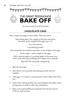

*Two more recipes from Jill Hentschel.* 

### **CHOCOLATE CAKE**

First, weigh four eggs, in their shells. Then you need:

Self-raising flour. The weight of the flour should be the same as the weight of the eggs, less 1 oz.

2 oz cocoa power

1 tsp baking powder

Soft margarine (or sunflower spread) – same weight as the eggs.

Castor sugar – same weight as the eggs.

Half a dessert apple or a cooking apple of the same size. (You could add a good tablespoon of apple sauce instead).

60g dark 70% chocolate, chopped up.

- 1. Beat fat and sugar.
- 2. Sieve flour, cocoa powder and baking powder and mix together.
- 3. Add eggs 1 at a time to a mixing bowl, with a little of the flour mix.
- 4. Fold in the remaining flour mix and chopped chocolate, using orange juice or milk to soften the consistency.
- 5. Bake in two greased/floured sandwich tins (8 inch size) at  $175\degree$ C for half an hour.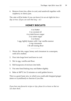6. Remove from tins, allow to cool, and sandwich together with raspberry or cherry jam.

The cake will be better if you can leave it in an air tight tin for a day or two. *(If you can wait that long – ed.)*

### **HONEY BISCUITS**

4 oz butter 2 oz coconut oil 4 oz dark brown sugar 2 oz castor sugar 2 oz honey 1 egg, lightly beaten with 1 tsp vanilla essence ¼ tsp cinnamon 1 lb self raising flour

- 1. Warm the fats, sugar, honey and cinnamon in a saucepan, until all is melted.
- 2. Pour into large bowl and leave to cool.
- 3. Stir in egg, vanilla and flour.
- 4. Roll teaspoons of mixture into balls.
- 5. Put onto lined baking tray and flatten slightly.
- 6. Bake at  $180^{\circ}$ C for 12 minutes or until golden brown.

This is a good, basic mix, to which you could add chopped ginger (stem or crystallised) or cherries if you like.

*If you have any favourite recipes or tips, please let us know so that we can share them.*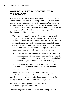# **WOULD YOU LIKE TO CONTRIBUTE TO '***THE VILLAGER***'?**

Articles, letters, snippets are all welcome. Or you might want to discuss an idea with one of *The Villager* team. The names of the team are given on the first page of the magazine. You can always stop and talk to us about contributions. And, remember that Sheila Redman is our 'News Hound', and wants to make sure that *The Villager* is fully up to date with what is going on. There are three important things to mention.

- 1. If you want to contribute an article, please try not to make it longer than about 500 words. You don't have to write as much as that, of course. We can accept far less! We have to set a limit in order to make sure that we have enough space to include everything that regularly goes into the magazine, plus room for contributions. Unfortunately, the magazine, because of technical reasons, plus costs, can't be ever expanding!
- 2. We will always set a deadline for contributions. See below. If you send in your contribution right on the deadline we can't guarantee inclusion in the magazine. It would be very helpful if you could send your article in with some time to spare.
- 3. We really would appreciate having your articles as Word docs, attached to an email. It makes it easier for all of us working on the magazine.

Two of us – Bill Pierce and Gill Davies – are very happy to be involved in discussions with anyone who wants to write something, or to provide a helping hand if needed. As well as talking to them, you can contact them through email.

Bill's email address is: piercewilliam991@gmail.com Gill's is: davies.gill@btinternet.com

*The deadline for contributions to the next Villager is May 17.*